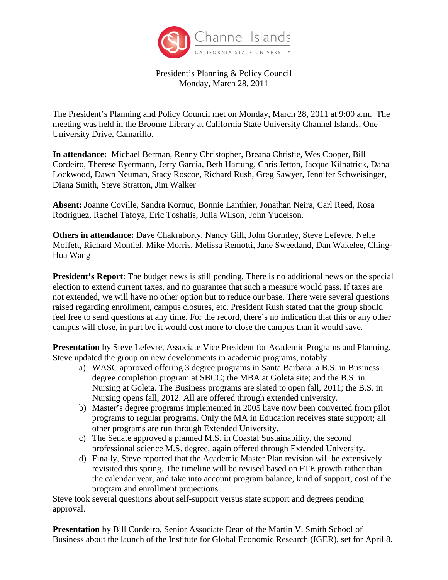

President's Planning & Policy Council Monday, March 28, 2011

The President's Planning and Policy Council met on Monday, March 28, 2011 at 9:00 a.m. The meeting was held in the Broome Library at California State University Channel Islands, One University Drive, Camarillo.

**In attendance:** Michael Berman, Renny Christopher, Breana Christie, Wes Cooper, Bill Cordeiro, Therese Eyermann, Jerry Garcia, Beth Hartung, Chris Jetton, Jacque Kilpatrick, Dana Lockwood, Dawn Neuman, Stacy Roscoe, Richard Rush, Greg Sawyer, Jennifer Schweisinger, Diana Smith, Steve Stratton, Jim Walker

**Absent:** Joanne Coville, Sandra Kornuc, Bonnie Lanthier, Jonathan Neira, Carl Reed, Rosa Rodriguez, Rachel Tafoya, Eric Toshalis, Julia Wilson, John Yudelson.

**Others in attendance:** Dave Chakraborty, Nancy Gill, John Gormley, Steve Lefevre, Nelle Moffett, Richard Montiel, Mike Morris, Melissa Remotti, Jane Sweetland, Dan Wakelee, Ching-Hua Wang

**President's Report**: The budget news is still pending. There is no additional news on the special election to extend current taxes, and no guarantee that such a measure would pass. If taxes are not extended, we will have no other option but to reduce our base. There were several questions raised regarding enrollment, campus closures, etc. President Rush stated that the group should feel free to send questions at any time. For the record, there's no indication that this or any other campus will close, in part b/c it would cost more to close the campus than it would save.

**Presentation** by Steve Lefevre, Associate Vice President for Academic Programs and Planning. Steve updated the group on new developments in academic programs, notably:

- a) WASC approved offering 3 degree programs in Santa Barbara: a B.S. in Business degree completion program at SBCC; the MBA at Goleta site; and the B.S. in Nursing at Goleta. The Business programs are slated to open fall, 2011; the B.S. in Nursing opens fall, 2012. All are offered through extended university.
- b) Master's degree programs implemented in 2005 have now been converted from pilot programs to regular programs. Only the MA in Education receives state support; all other programs are run through Extended University.
- c) The Senate approved a planned M.S. in Coastal Sustainability, the second professional science M.S. degree, again offered through Extended University.
- d) Finally, Steve reported that the Academic Master Plan revision will be extensively revisited this spring. The timeline will be revised based on FTE growth rather than the calendar year, and take into account program balance, kind of support, cost of the program and enrollment projections.

Steve took several questions about self-support versus state support and degrees pending approval.

**Presentation** by Bill Cordeiro, Senior Associate Dean of the Martin V. Smith School of Business about the launch of the Institute for Global Economic Research (IGER), set for April 8.